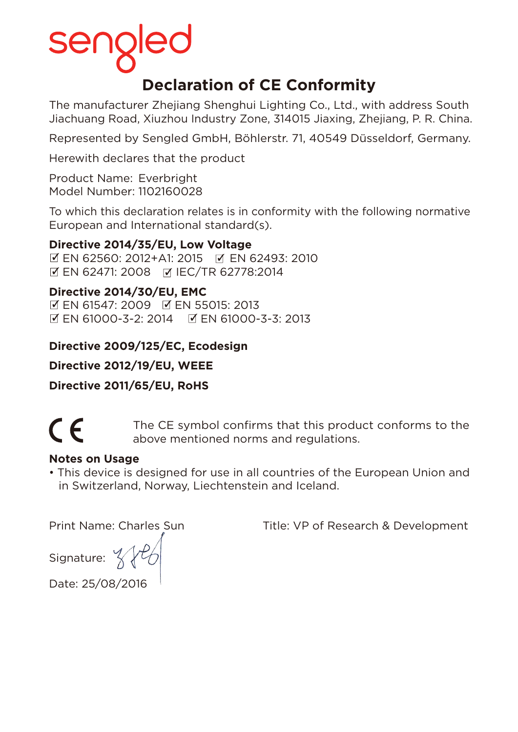# **Declaration of CE Conformity**

The manufacturer Zhejiang Shenghui Lighting Co., Ltd., with address South Jiachuang Road, Xiuzhou Industry Zone, 314015 Jiaxing, Zhejiang, P. R. China.

Represented by Sengled GmbH, Böhlerstr. 71, 40549 Düsseldorf, Germany.

Herewith declares that the product

Product Name: Everbright Model Number: 1102160028

To which this declaration relates is in conformity with the following normative European and International standard(s).

### **Directive 2014/35/EU, Low Voltage**

 EN 62560: 2012+A1: 2015 EN 62493: 2010 EN 62471: 2008 IEC/TR 62778:2014

### **Directive 2014/30/EU, EMC**

 EN 61547: 2009 EN 55015: 2013 EN 61000-3-2: 2014 EN 61000-3-3: 2013

## **Directive 2009/125/EC, Ecodesign**

**Directive 2012/19/EU, WEEE**

**Directive 2011/65/EU, RoHS**



The CE symbol confirms that this product conforms to the<br>above mentioned norms and requisions above mentioned norms and regulations.

### **Notes on Usage**

• This device is designed for use in all countries of the European Union and in Switzerland, Norway, Liechtenstein and Iceland.

Print Name: Charles Sun Title: VP of Research & Development

Signature:  $\frac{9}{2}$ 

Date: 25/08/2016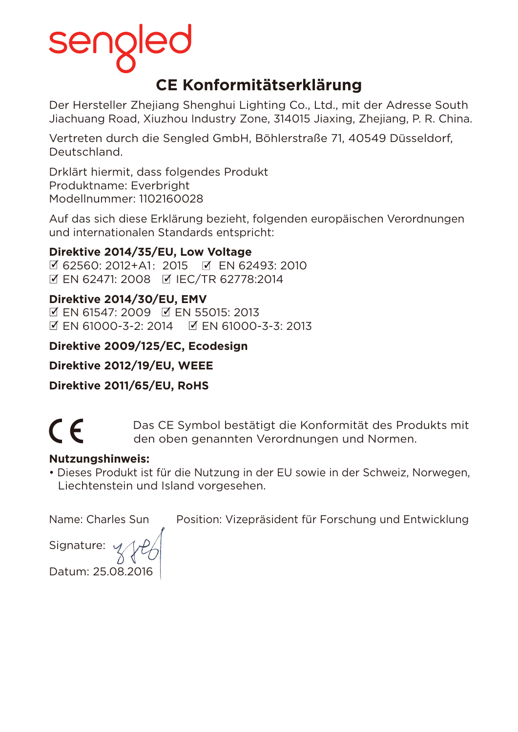# **CE Konformitätserklärung**

Der Hersteller Zhejiang Shenghui Lighting Co., Ltd., mit der Adresse South Jiachuang Road, Xiuzhou Industry Zone, 314015 Jiaxing, Zhejiang, P. R. China.

Vertreten durch die Sengled GmbH, Böhlerstraße 71, 40549 Düsseldorf, Deutschland.

Drklärt hiermit, dass folgendes Produkt Produktname: Everbright Modellnummer: 1102160028

Auf das sich diese Erklärung bezieht, folgenden europäischen Verordnungen und internationalen Standards entspricht:

## **Direktive 2014/35/EU, Low Voltage**

 62560: 2012+A1:2015 EN 62493: 2010 EN 62471: 2008 IEC/TR 62778:2014

## **Direktive 2014/30/EU, EMV**

 EN 61547: 2009 EN 55015: 2013  $\mathbb{Z}$  EN 61000-3-2: 2014  $\mathbb{Z}$  EN 61000-3-3: 2013

## **Direktive 2009/125/EC, Ecodesign**

**Direktive 2012/19/EU, WEEE**

**Direktive 2011/65/EU, RoHS**

CE Das CE Symbol bestätigt die Konformität des Produkts mit den oben genannten Verordnungen und Normen.

### **Nutzungshinweis:**

• Dieses Produkt ist für die Nutzung in der EU sowie in der Schweiz, Norwegen, Liechtenstein und Island vorgesehen.

Signature: Datum: 25.08.2016

Name: Charles Sun Position: Vizepräsident für Forschung und Entwicklung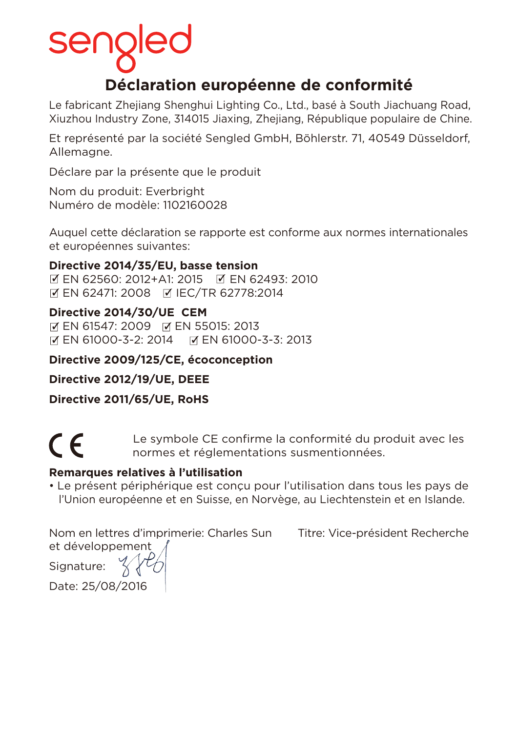# **Déclaration européenne de conformité**

Le fabricant Zhejiang Shenghui Lighting Co., Ltd., basé à South Jiachuang Road, Xiuzhou Industry Zone, 314015 Jiaxing, Zhejiang, République populaire de Chine.

Et représenté par la société Sengled GmbH, Böhlerstr. 71, 40549 Düsseldorf, Allemagne.

Déclare par la présente que le produit

Nom du produit: Everbright Numéro de modèle: 1102160028

Auquel cette déclaration se rapporte est conforme aux normes internationales et européennes suivantes:

### **Directive 2014/35/EU, basse tension**

 EN 62560: 2012+A1: 2015 EN 62493: 2010 **Ø EN 62471: 2008 Ø IEC/TR 62778:2014** 

## **Directive 2014/30/UE CEM**

**EN 61547: 2009 F EN 55015: 2013** EN 61000-3-2: 2014 EN 61000-3-3: 2013

### **Directive 2009/125/CE, écoconception**

### **Directive 2012/19/UE, DEEE**

**Directive 2011/65/UE, RoHS**



Le symbole CE confirme la conformité du produit avec les<br>
normes et réglementations susmentionnées normes et réglementations susmentionnées.

### **Remarques relatives à l'utilisation**

• Le présent périphérique est conçu pour l'utilisation dans tous les pays de l'Union européenne et en Suisse, en Norvège, au Liechtenstein et en Islande.

Nom en lettres d'imprimerie: Charles Sun Titre: Vice-président Recherche et développement

Signature: Date: 25/08/2016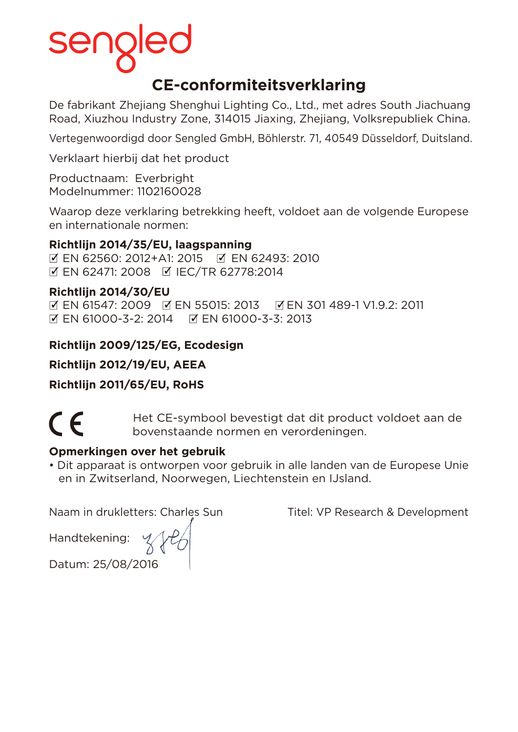# **CE-conformiteitsverklaring**

De fabrikant Zhejiang Shenghui Lighting Co., Ltd., met adres South Jiachuang Road, Xiuzhou Industry Zone, 314015 Jiaxing, Zhejiang, Volksrepubliek China.

Vertegenwoordigd door Sengled GmbH, Böhlerstr. 71, 40549 Düsseldorf, Duitsland.

Verklaart hierbij dat het product

Productnaam: Everbright Modelnummer: 1102160028

Waarop deze verklaring betrekking heeft, voldoet aan de volgende Europese en internationale normen:

# **Richtlijn 2014/35/EU, laagspanning**

 EN 62560: 2012+A1: 2015 EN 62493: 2010 **Ø EN 62471: 2008 Ø IEC/TR 62778:2014** 

### **Richtlijn 2014/30/EU**

 EN 61547: 2009 EN 55015: 2013 EN 301 489-1 V1.9.2: 2011 EN 61000-3-2: 2014 EN 61000-3-3: 2013

# **Richtlijn 2009/125/EG, Ecodesign**

**Richtlijn 2012/19/EU, AEEA**

**Richtlijn 2011/65/EU, RoHS**

Het CE-symbool bevestigt dat dit product voldoet aan de bovenstaande normen en verordeningen.

### **Opmerkingen over het gebruik**

• Dit apparaat is ontworpen voor gebruik in alle landen van de Europese Unie en in Zwitserland, Noorwegen, Liechtenstein en IJsland.

Naam in drukletters: Charles Sun Titel: VP Research & Development

Handtekening:

Datum: 25/08/2016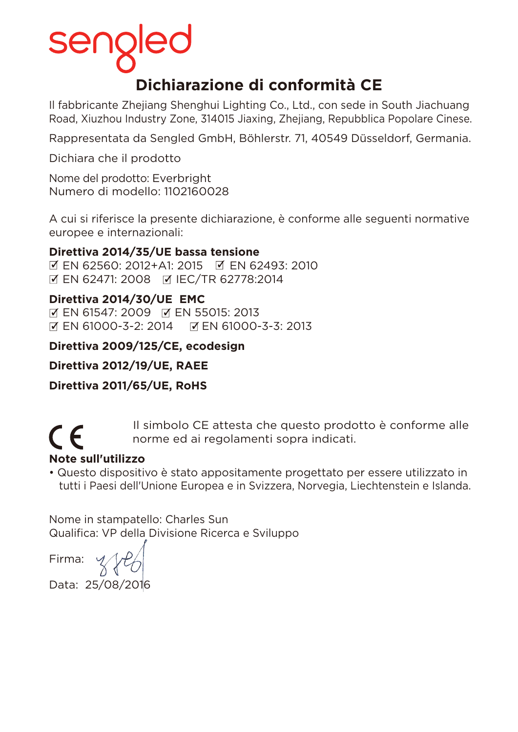# **Dichiarazione di conformità CE**

Il fabbricante Zhejiang Shenghui Lighting Co., Ltd., con sede in South Jiachuang Road, Xiuzhou Industry Zone, 314015 Jiaxing, Zhejiang, Repubblica Popolare Cinese.

Rappresentata da Sengled GmbH, Böhlerstr. 71, 40549 Düsseldorf, Germania.

Dichiara che il prodotto

Nome del prodotto: Everbright Numero di modello: 1102160028

A cui si riferisce la presente dichiarazione, è conforme alle seguenti normative europee e internazionali:

### **Direttiva 2014/35/UE bassa tensione**

 EN 62560: 2012+A1: 2015 EN 62493: 2010 **Ø EN 62471: 2008 Ø IEC/TR 62778:2014** 

### **Direttiva 2014/30/UE EMC**

M EN 61547: 2009 M EN 55015: 2013 区 EN 61000-3-2: 2014 区 EN 61000-3-3: 2013

### **Direttiva 2009/125/CE, ecodesign**

**Direttiva 2012/19/UE, RAEE**

**Direttiva 2011/65/UE, RoHS**

Il simbolo CE attesta che questo prodotto è conforme alle<br>
norme ed ai regolamenti sopra indicati. norme ed ai regolamenti sopra indicati.

# **Note sull'utilizzo**

• Questo dispositivo è stato appositamente progettato per essere utilizzato in tutti i Paesi dell'Unione Europea e in Svizzera, Norvegia, Liechtenstein e Islanda.

Nome in stampatello: Charles Sun Qualifica: VP della Divisione Ricerca e Sviluppo

Firma:

Data: 25/08/2016